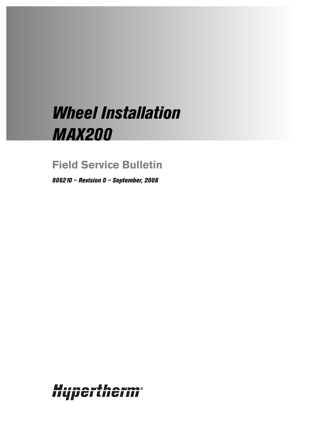# *Wheel Installation MAX200*

# **Field Service Bulletin**

*806210 – Revision 0 – September, 2008*

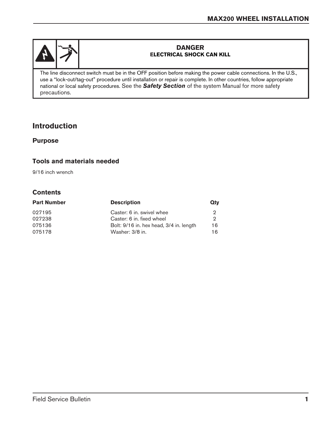

#### **DANGER ELECTRICAL SHOCK CAN KILL**

The line disconnect switch must be in the OFF position before making the power cable connections. In the U.S., use a "lock-out/tag-out" procedure until installation or repair is complete. In other countries, follow appropriate national or local safety procedures. See the *Safety Section* of the system Manual for more safety precautions.

# **Introduction**

#### **Purpose**

#### **Tools and materials needed**

9/16 inch wrench

### **Contents**

| <b>Part Number</b> | <b>Description</b>                      | Qtv |
|--------------------|-----------------------------------------|-----|
| 027195             | Caster: 6 in. swivel whee               | 2   |
| 027238             | Caster: 6 in. fixed wheel               | 2   |
| 075136             | Bolt: 9/16 in. hex head, 3/4 in. length | 16  |
| 075178             | Washer: 3/8 in.                         | 16  |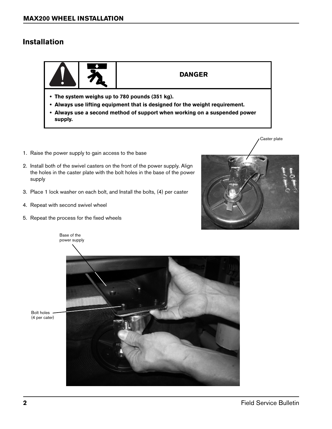## **Installation**



#### **DANGER**

- **The system weighs up to 780 pounds (351 kg).**
- **Always use lifting equipment that is designed for the weight requirement.**
- **Always use a second method of support when working on a suspended power supply.**
- 1. Raise the power supply to gain access to the base
- 2. Install both of the swivel casters on the front of the power supply. Align the holes in the caster plate with the bolt holes in the base of the power supply
- 3. Place 1 lock washer on each bolt, and Install the bolts, (4) per caster
- 4. Repeat with second swivel wheel
- 5. Repeat the process for the fixed wheels



Caster plate





Bolt holes (4 per cater)